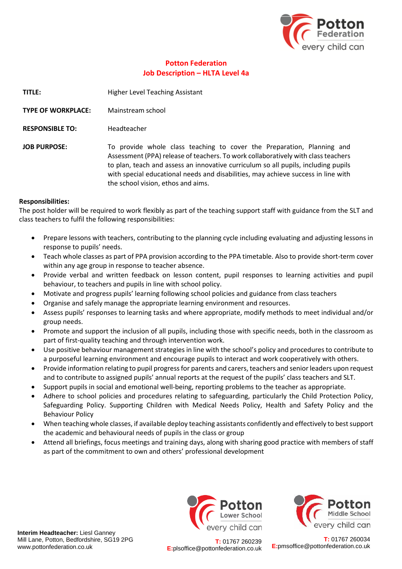

## **Potton Federation Job Description – HLTA Level 4a**

**TITLE:** Higher Level Teaching Assistant

- **TYPE OF WORKPLACE:** Mainstream school
- **RESPONSIBLE TO:** Headteacher
- JOB PURPOSE: To provide whole class teaching to cover the Preparation, Planning and Assessment (PPA) release of teachers. To work collaboratively with class teachers to plan, teach and assess an innovative curriculum so all pupils, including pupils with special educational needs and disabilities, may achieve success in line with the school vision, ethos and aims.

## **Responsibilities:**

The post holder will be required to work flexibly as part of the teaching support staff with guidance from the SLT and class teachers to fulfil the following responsibilities:

- Prepare lessons with teachers, contributing to the planning cycle including evaluating and adjusting lessons in response to pupils' needs.
- Teach whole classes as part of PPA provision according to the PPA timetable. Also to provide short-term cover within any age group in response to teacher absence.
- Provide verbal and written feedback on lesson content, pupil responses to learning activities and pupil behaviour, to teachers and pupils in line with school policy.
- Motivate and progress pupils' learning following school policies and guidance from class teachers
- Organise and safely manage the appropriate learning environment and resources.
- Assess pupils' responses to learning tasks and where appropriate, modify methods to meet individual and/or group needs.
- Promote and support the inclusion of all pupils, including those with specific needs, both in the classroom as part of first-quality teaching and through intervention work.
- Use positive behaviour management strategies in line with the school's policy and procedures to contribute to a purposeful learning environment and encourage pupils to interact and work cooperatively with others.
- Provide information relating to pupil progress for parents and carers, teachers and senior leaders upon request and to contribute to assigned pupils' annual reports at the request of the pupils' class teachers and SLT.
- Support pupils in social and emotional well-being, reporting problems to the teacher as appropriate.
- Adhere to school policies and procedures relating to safeguarding, particularly the Child Protection Policy, Safeguarding Policy. Supporting Children with Medical Needs Policy, Health and Safety Policy and the Behaviour Policy
- When teaching whole classes, if available deploy teaching assistants confidently and effectively to best support the academic and behavioural needs of pupils in the class or group
- Attend all briefings, focus meetings and training days, along with sharing good practice with members of staff as part of the commitment to own and others' professional development

**Interim Headteacher:** Liesl Ganney Mill Lane, Potton, Bedfordshire, SG19 2PG www.pottonfederation.co.uk





**T:** 01767 260239 **E:**plsoffice@pottonfederation.co.uk

**T:** 01767 260034 **E:**pmsoffice@pottonfederation.co.uk